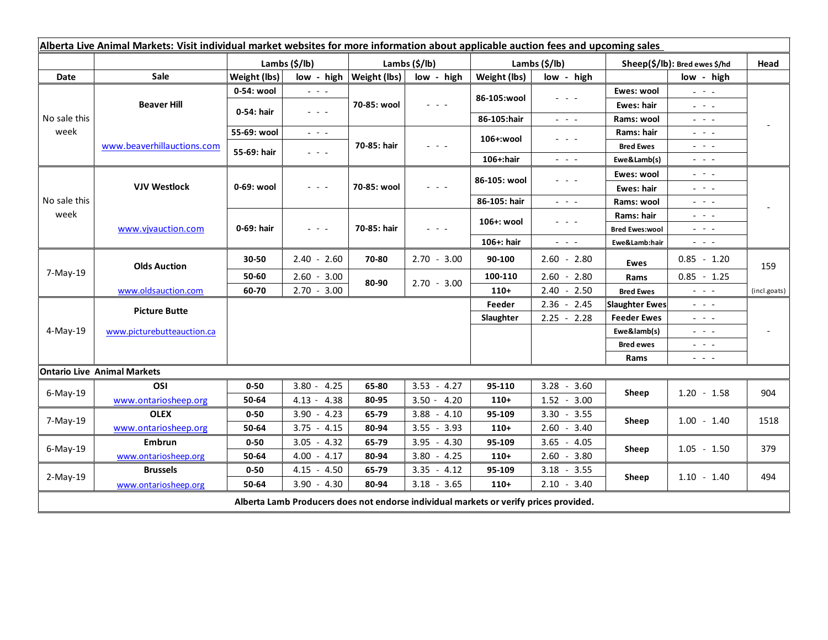| Alberta Live Animal Markets: Visit individual market websites for more information about applicable auction fees and upcoming sales |                                    |               |                                                                                                                           |                           |                                                           |               |                                                                                                                           |                               |                                                                                                                                                                                                                                                                                                                                                                                                                                                |              |
|-------------------------------------------------------------------------------------------------------------------------------------|------------------------------------|---------------|---------------------------------------------------------------------------------------------------------------------------|---------------------------|-----------------------------------------------------------|---------------|---------------------------------------------------------------------------------------------------------------------------|-------------------------------|------------------------------------------------------------------------------------------------------------------------------------------------------------------------------------------------------------------------------------------------------------------------------------------------------------------------------------------------------------------------------------------------------------------------------------------------|--------------|
|                                                                                                                                     |                                    | Lambs (\$/lb) |                                                                                                                           | Lambs (\$/lb)             |                                                           | Lambs (\$/lb) |                                                                                                                           | Sheep(\$/lb): Bred ewes \$/hd |                                                                                                                                                                                                                                                                                                                                                                                                                                                | Head         |
| Date                                                                                                                                | Sale                               | Weight (lbs)  |                                                                                                                           | low - high   Weight (lbs) | low - high                                                | Weight (lbs)  | low - high                                                                                                                |                               | low - high                                                                                                                                                                                                                                                                                                                                                                                                                                     |              |
| No sale this<br>week                                                                                                                | <b>Beaver Hill</b>                 | 0-54: wool    | $\omega_{\rm c}$ and $\omega_{\rm c}$                                                                                     | 70-85: wool               | $\omega_{\rm{c}}$ , $\omega_{\rm{c}}$ , $\omega_{\rm{c}}$ | 86-105:wool   | $\frac{1}{2} \left( \frac{1}{2} \right) \left( \frac{1}{2} \right) \left( \frac{1}{2} \right) \left( \frac{1}{2} \right)$ | Ewes: wool                    | $\omega_{\rm{eff}}=0.1$                                                                                                                                                                                                                                                                                                                                                                                                                        |              |
|                                                                                                                                     |                                    | 0-54: hair    | $\frac{1}{2} \left( \frac{1}{2} \right) \left( \frac{1}{2} \right) \left( \frac{1}{2} \right) \left( \frac{1}{2} \right)$ |                           |                                                           |               |                                                                                                                           | Ewes: hair                    | 20 milion                                                                                                                                                                                                                                                                                                                                                                                                                                      |              |
|                                                                                                                                     |                                    |               |                                                                                                                           |                           |                                                           | 86-105:hair   | $\frac{1}{2} \left( \frac{1}{2} \right) = \frac{1}{2} \left( \frac{1}{2} \right) = \frac{1}{2}$                           | Rams: wool                    | $  -$                                                                                                                                                                                                                                                                                                                                                                                                                                          |              |
|                                                                                                                                     | www.beaverhillauctions.com         | 55-69: wool   | $\omega_{\rm{eff}}$ and $\omega_{\rm{eff}}$                                                                               | 70-85: hair               | $  -$                                                     | 106+:wool     | - - -                                                                                                                     | Rams: hair                    | 20 A G                                                                                                                                                                                                                                                                                                                                                                                                                                         |              |
|                                                                                                                                     |                                    | 55-69: hair   | $\omega_{\rm{eff}}$ and $\omega_{\rm{eff}}$                                                                               |                           |                                                           |               |                                                                                                                           | <b>Bred Ewes</b>              | $\frac{1}{2} \left( \frac{1}{2} \right) = \frac{1}{2} \left( \frac{1}{2} \right)$                                                                                                                                                                                                                                                                                                                                                              |              |
|                                                                                                                                     |                                    |               |                                                                                                                           |                           |                                                           | 106+:hair     | $\omega_{\rm{eff}}$ and $\omega_{\rm{eff}}$                                                                               | Ewe&Lamb(s)                   | $\frac{1}{2} \left( \frac{1}{2} \right) \left( \frac{1}{2} \right) \left( \frac{1}{2} \right) \left( \frac{1}{2} \right)$                                                                                                                                                                                                                                                                                                                      |              |
| No sale this<br>week                                                                                                                | <b>VJV Westlock</b>                | 0-69: wool    | $\frac{1}{2} \left( \frac{1}{2} \right) \left( \frac{1}{2} \right) \left( \frac{1}{2} \right) \left( \frac{1}{2} \right)$ | 70-85: wool               | - - -                                                     | 86-105: wool  | $  -$                                                                                                                     | Ewes: wool                    | $\frac{1}{2} \left( \frac{1}{2} \right) = \frac{1}{2} \left( \frac{1}{2} \right)$                                                                                                                                                                                                                                                                                                                                                              |              |
|                                                                                                                                     |                                    |               |                                                                                                                           |                           |                                                           |               |                                                                                                                           | <b>Ewes: hair</b>             | 20 H L                                                                                                                                                                                                                                                                                                                                                                                                                                         |              |
|                                                                                                                                     |                                    |               |                                                                                                                           |                           |                                                           | 86-105: hair  | $\frac{1}{2} \left( \frac{1}{2} \right) = \frac{1}{2} \left( \frac{1}{2} \right) = \frac{1}{2}$                           | Rams: wool                    | $  -$                                                                                                                                                                                                                                                                                                                                                                                                                                          |              |
|                                                                                                                                     | www.vjvauction.com                 | 0-69: hair    | $  -$                                                                                                                     | 70-85: hair               | - - -                                                     | 106+: wool    | - - -                                                                                                                     | Rams: hair                    | $  -$                                                                                                                                                                                                                                                                                                                                                                                                                                          |              |
|                                                                                                                                     |                                    |               |                                                                                                                           |                           |                                                           |               |                                                                                                                           | <b>Bred Ewes:wool</b>         | - - -                                                                                                                                                                                                                                                                                                                                                                                                                                          |              |
|                                                                                                                                     |                                    |               |                                                                                                                           |                           |                                                           | 106+: hair    | $\omega_{\rm{eff}}$ and $\omega_{\rm{eff}}$                                                                               | Ewe&Lamb:hair                 | $\omega_{\rm{c}}$ , $\omega_{\rm{c}}$ , $\omega_{\rm{c}}$                                                                                                                                                                                                                                                                                                                                                                                      |              |
| 7-May-19                                                                                                                            | <b>Olds Auction</b>                | 30-50         | $2.40 - 2.60$                                                                                                             | 70-80                     | $2.70 - 3.00$                                             | 90-100        | $2.60 - 2.80$                                                                                                             | Ewes                          | $0.85 - 1.20$                                                                                                                                                                                                                                                                                                                                                                                                                                  | 159          |
|                                                                                                                                     |                                    | 50-60         | $2.60 - 3.00$                                                                                                             | 80-90                     | $2.70 - 3.00$                                             | 100-110       | $2.60 - 2.80$                                                                                                             | Rams                          | $0.85 - 1.25$                                                                                                                                                                                                                                                                                                                                                                                                                                  |              |
|                                                                                                                                     | www.oldsauction.com                | 60-70         | $2.70 - 3.00$                                                                                                             |                           |                                                           | $110+$        | $2.40 - 2.50$                                                                                                             | <b>Bred Ewes</b>              | $\frac{1}{2} \left( \frac{1}{2} \right) \left( \frac{1}{2} \right) \left( \frac{1}{2} \right) \left( \frac{1}{2} \right)$                                                                                                                                                                                                                                                                                                                      | (incl.goats) |
| 4-May-19                                                                                                                            | <b>Picture Butte</b>               |               |                                                                                                                           |                           |                                                           |               | $2.36 - 2.45$                                                                                                             | <b>Slaughter Ewes</b>         | $\frac{1}{2} \left( \frac{1}{2} \right) \left( \frac{1}{2} \right) \left( \frac{1}{2} \right) \left( \frac{1}{2} \right)$                                                                                                                                                                                                                                                                                                                      |              |
|                                                                                                                                     | www.picturebutteauction.ca         |               |                                                                                                                           |                           |                                                           | Slaughter     | $2.25 - 2.28$                                                                                                             | <b>Feeder Ewes</b>            | $\frac{1}{2} \left( \frac{1}{2} \right) = \frac{1}{2} \left( \frac{1}{2} \right)$                                                                                                                                                                                                                                                                                                                                                              |              |
|                                                                                                                                     |                                    |               |                                                                                                                           |                           |                                                           |               | Ewe&lamb(s)                                                                                                               |                               | $\frac{1}{2} \left( \frac{1}{2} \right) \frac{1}{2} \left( \frac{1}{2} \right) \frac{1}{2} \left( \frac{1}{2} \right) \frac{1}{2} \left( \frac{1}{2} \right) \frac{1}{2} \left( \frac{1}{2} \right) \frac{1}{2} \left( \frac{1}{2} \right) \frac{1}{2} \left( \frac{1}{2} \right) \frac{1}{2} \left( \frac{1}{2} \right) \frac{1}{2} \left( \frac{1}{2} \right) \frac{1}{2} \left( \frac{1}{2} \right) \frac{1}{2} \left( \frac{1}{2} \right)$ |              |
|                                                                                                                                     |                                    |               |                                                                                                                           |                           |                                                           |               |                                                                                                                           | <b>Bred ewes</b>              | $\frac{1}{2} \left( \frac{1}{2} \right) \frac{1}{2} \left( \frac{1}{2} \right) \frac{1}{2} \left( \frac{1}{2} \right) \frac{1}{2} \left( \frac{1}{2} \right) \frac{1}{2} \left( \frac{1}{2} \right) \frac{1}{2} \left( \frac{1}{2} \right) \frac{1}{2} \left( \frac{1}{2} \right) \frac{1}{2} \left( \frac{1}{2} \right) \frac{1}{2} \left( \frac{1}{2} \right) \frac{1}{2} \left( \frac{1}{2} \right) \frac{1}{2} \left( \frac{1}{2} \right)$ |              |
|                                                                                                                                     |                                    |               |                                                                                                                           |                           |                                                           |               |                                                                                                                           | Rams                          | $\frac{1}{2} \left( \frac{1}{2} \right) \frac{1}{2} \left( \frac{1}{2} \right) \frac{1}{2} \left( \frac{1}{2} \right)$                                                                                                                                                                                                                                                                                                                         |              |
|                                                                                                                                     | <b>Ontario Live Animal Markets</b> |               |                                                                                                                           |                           |                                                           |               |                                                                                                                           |                               |                                                                                                                                                                                                                                                                                                                                                                                                                                                |              |
| $6$ -May-19                                                                                                                         | OSI                                | $0 - 50$      | 4.25<br>$3.80 -$                                                                                                          | 65-80                     | $3.53 - 4.27$                                             | 95-110        | $3.28 - 3.60$                                                                                                             | Sheep                         | $1.20 - 1.58$                                                                                                                                                                                                                                                                                                                                                                                                                                  | 904          |
|                                                                                                                                     | www.ontariosheep.org               | 50-64         | 4.38<br>$4.13 -$                                                                                                          | 80-95                     | $3.50 - 4.20$                                             | $110+$        | $1.52 - 3.00$                                                                                                             |                               |                                                                                                                                                                                                                                                                                                                                                                                                                                                |              |
| 7-May-19                                                                                                                            | <b>OLEX</b>                        | $0 - 50$      | 4.23<br>$3.90 -$                                                                                                          | 65-79                     | 3.88<br>$-4.10$                                           | 95-109        | $3.30 - 3.55$                                                                                                             | Sheep                         | $1.00 - 1.40$                                                                                                                                                                                                                                                                                                                                                                                                                                  | 1518         |
|                                                                                                                                     | www.ontariosheep.org               | 50-64         | 4.15<br>3.75<br>$\sim$                                                                                                    | 80-94                     | $-3.93$<br>3.55                                           | $110+$        | $2.60 - 3.40$                                                                                                             |                               |                                                                                                                                                                                                                                                                                                                                                                                                                                                |              |
| $6$ -May-19                                                                                                                         | <b>Embrun</b>                      | $0 - 50$      | 3.05<br>$-4.32$                                                                                                           | 65-79                     | 3.95<br>$-4.30$                                           | 95-109        | $3.65 - 4.05$                                                                                                             | Sheep                         | $1.05 - 1.50$                                                                                                                                                                                                                                                                                                                                                                                                                                  | 379          |
|                                                                                                                                     | www.ontariosheep.org               | 50-64         | $4.00 - 4.17$                                                                                                             | 80-94                     | $3.80 - 4.25$                                             | $110+$        | $2.60 - 3.80$                                                                                                             |                               |                                                                                                                                                                                                                                                                                                                                                                                                                                                |              |
| $2-May-19$                                                                                                                          | <b>Brussels</b>                    | $0 - 50$      | $4.15 - 4.50$                                                                                                             | 65-79                     | $3.35 - 4.12$                                             | 95-109        | $3.18 - 3.55$                                                                                                             | Sheep                         | $1.10 - 1.40$                                                                                                                                                                                                                                                                                                                                                                                                                                  | 494          |
|                                                                                                                                     | www.ontariosheep.org               | 50-64         | $3.90 - 4.30$                                                                                                             | 80-94                     | $3.18 - 3.65$                                             | $110+$        | $2.10 - 3.40$                                                                                                             |                               |                                                                                                                                                                                                                                                                                                                                                                                                                                                |              |
| Alberta Lamb Producers does not endorse individual markets or verify prices provided.                                               |                                    |               |                                                                                                                           |                           |                                                           |               |                                                                                                                           |                               |                                                                                                                                                                                                                                                                                                                                                                                                                                                |              |